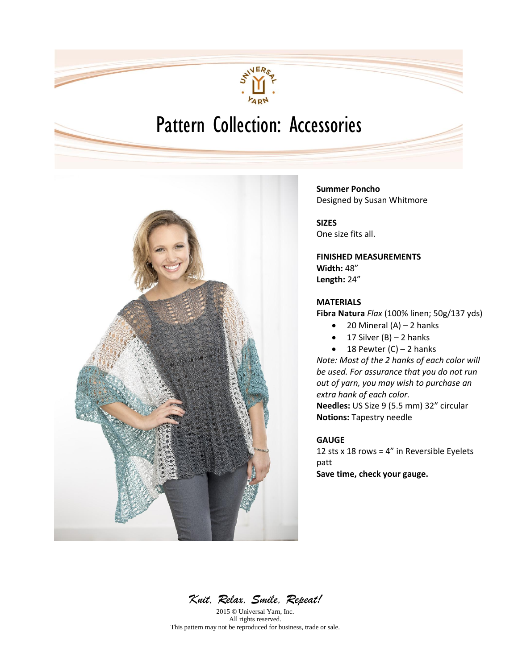

# Pattern Collection: Accessories



**Summer Poncho** Designed by Susan Whitmore

**SIZES** One size fits all.

**FINISHED MEASUREMENTS Width:** 48" **Length:** 24"

### **MATERIALS**

**Fibra Natura** *Flax* (100% linen; 50g/137 yds)

- $\bullet$  20 Mineral (A) 2 hanks
- $\bullet$  17 Silver (B) 2 hanks
- $\bullet$  18 Pewter (C) 2 hanks

*Note: Most of the 2 hanks of each color will be used. For assurance that you do not run out of yarn, you may wish to purchase an extra hank of each color.* **Needles:** US Size 9 (5.5 mm) 32" circular

**Notions:** Tapestry needle

### **GAUGE**

12 sts x 18 rows =  $4"$  in Reversible Eyelets patt **Save time, check your gauge.**

*Knit, Relax, Smile, Repeat!* 

2015 © Universal Yarn, Inc. All rights reserved. This pattern may not be reproduced for business, trade or sale.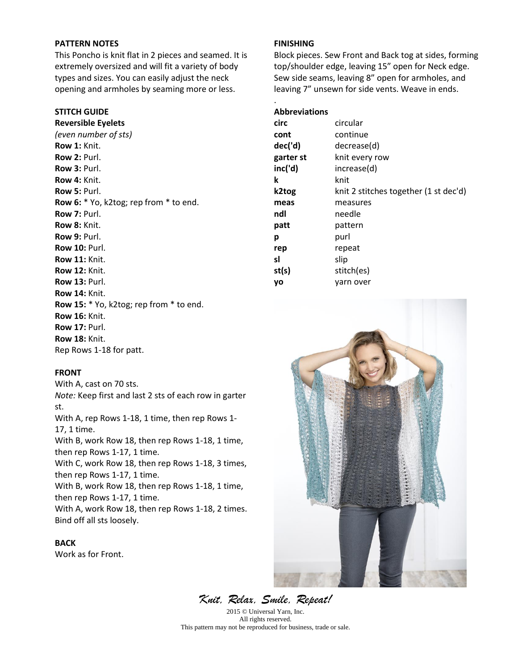## **PATTERN NOTES**

This Poncho is knit flat in 2 pieces and seamed. It is extremely oversized and will fit a variety of body types and sizes. You can easily adjust the neck opening and armholes by seaming more or less.

#### **STITCH GUIDE**

**Reversible Eyelets**  *(even number of sts)*  **Row 1:** Knit. **Row 2:** Purl. **Row 3:** Purl. **Row 4:** Knit. **Row 5:** Purl. **Row 6:** \* Yo, k2tog; rep from \* to end. **Row 7:** Purl. **Row 8:** Knit. **Row 9:** Purl. **Row 10:** Purl. **Row 11:** Knit. **Row 12:** Knit. **Row 13:** Purl. **Row 14:** Knit. **Row 15:** \* Yo, k2tog; rep from \* to end. **Row 16:** Knit. **Row 17:** Purl. **Row 18:** Knit. Rep Rows 1-18 for patt.

#### **FRONT**

With A, cast on 70 sts. *Note:* Keep first and last 2 sts of each row in garter st. With A, rep Rows 1-18, 1 time, then rep Rows 1- 17, 1 time. With B, work Row 18, then rep Rows 1-18, 1 time, then rep Rows 1-17, 1 time. With C, work Row 18, then rep Rows 1-18, 3 times, then rep Rows 1-17, 1 time. With B, work Row 18, then rep Rows 1-18, 1 time, then rep Rows 1-17, 1 time. With A, work Row 18, then rep Rows 1-18, 2 times. Bind off all sts loosely.

**BACK**  Work as for Front.

#### **FINISHING**

Block pieces. Sew Front and Back tog at sides, forming top/shoulder edge, leaving 15" open for Neck edge. Sew side seams, leaving 8" open for armholes, and leaving 7" unsewn for side vents. Weave in ends.

#### **Abbreviations**

.

| circ      | circular                              |
|-----------|---------------------------------------|
| cont      | continue                              |
| dec('d)   | decrease(d)                           |
| garter st | knit every row                        |
| inc('d)   | increase(d)                           |
| k         | knit                                  |
| k2tog     | knit 2 stitches together (1 st dec'd) |
| meas      | measures                              |
| ndl       | needle                                |
| patt      | pattern                               |
| р         | purl                                  |
| rep       | repeat                                |
| sl        | slip                                  |
| st(s)     | stitch(es)                            |
| yo        | varn over                             |
|           |                                       |



*Knit, Relax, Smile, Repeat!*  2015 © Universal Yarn, Inc. All rights reserved.

This pattern may not be reproduced for business, trade or sale.